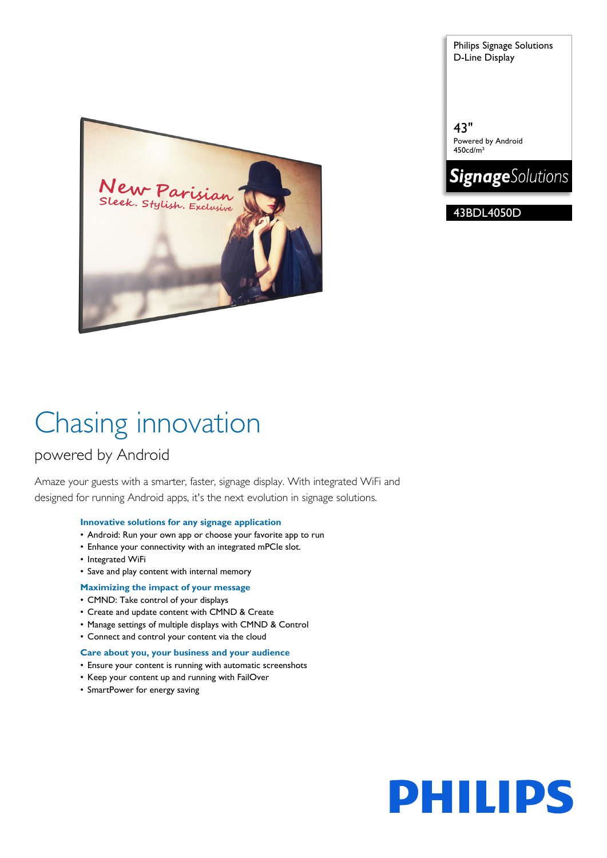Sleek. Stylish. Exclusive

Chasing innovation

### powered by Android

Amaze your guests with a smarter, faster, signage display. With integrated WiFi and designed for running Android apps, it's the next evolution in signage solutions.

### **Innovative solutions for any signage application**

- Android: Run your own app or choose your favorite app to run
- Enhance your connectivity with an integrated mPCIe slot.
- Integrated WiFi
- Save and play content with internal memory
- **Maximizing the impact of your message**
- CMND: Take control of your displays
- Create and update content with CMND & Create
- Manage settings of multiple displays with CMND & Control
- Connect and control your content via the cloud

### **Care about you, your business and your audience**

- Ensure your content is running with automatic screenshots
- Keep your content up and running with FailOver
- SmartPower for energy saving

Philips Signage Solutions D-Line Display

43" Powered by Android 450cd/m²



43BDL4050D

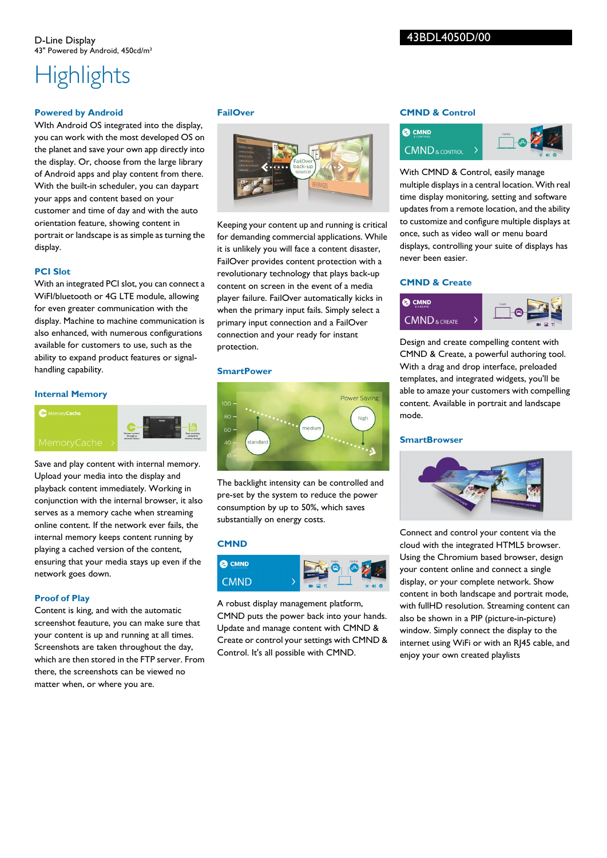### 43BDL4050D/00

# **Highlights**

### **Powered by Android**

WIth Android OS integrated into the display, you can work with the most developed OS on the planet and save your own app directly into the display. Or, choose from the large library of Android apps and play content from there. With the built-in scheduler, you can daypart your apps and content based on your customer and time of day and with the auto orientation feature, showing content in portrait or landscape is as simple as turning the display.

### **PCI Slot**

With an integrated PCI slot, you can connect a WiFI/bluetooth or 4G LTE module, allowing for even greater communication with the display. Machine to machine communication is also enhanced, with numerous configurations available for customers to use, such as the ability to expand product features or signalhandling capability.

### **Internal Memory**

### **C** Memory Cache





Save and play content with internal memory. Upload your media into the display and playback content immediately. Working in conjunction with the internal browser, it also serves as a memory cache when streaming online content. If the network ever fails, the internal memory keeps content running by playing a cached version of the content, ensuring that your media stays up even if the network goes down.

### **Proof of Play**

Content is king, and with the automatic screenshot feauture, you can make sure that your content is up and running at all times. Screenshots are taken throughout the day, which are then stored in the FTP server. From there, the screenshots can be viewed no matter when, or where you are.

### **FailOver**



Keeping your content up and running is critical for demanding commercial applications. While it is unlikely you will face a content disaster, FailOver provides content protection with a revolutionary technology that plays back-up content on screen in the event of a media player failure. FailOver automatically kicks in when the primary input fails. Simply select a primary input connection and a FailOver connection and your ready for instant protection.

### **SmartPower**



The backlight intensity can be controlled and pre-set by the system to reduce the power consumption by up to 50%, which saves substantially on energy costs.

### **CMND**



A robust display management platform, CMND puts the power back into your hands. Update and manage content with CMND & Create or control your settings with CMND & Control. It's all possible with CMND.

### **CMND & Control**



With CMND & Control, easily manage multiple displays in a central location. With real time display monitoring, setting and software updates from a remote location, and the ability to customize and configure multiple displays at once, such as video wall or menu board displays, controlling your suite of displays has never been easier.

### **CMND & Create**



Design and create compelling content with CMND & Create, a powerful authoring tool. With a drag and drop interface, preloaded templates, and integrated widgets, you'll be able to amaze your customers with compelling content. Available in portrait and landscape mode.

### **SmartBrowser**



Connect and control your content via the cloud with the integrated HTML5 browser. Using the Chromium based browser, design your content online and connect a single display, or your complete network. Show content in both landscape and portrait mode, with fullHD resolution. Streaming content can also be shown in a PIP (picture-in-picture) window. Simply connect the display to the internet using WiFi or with an RJ45 cable, and enjoy your own created playlists